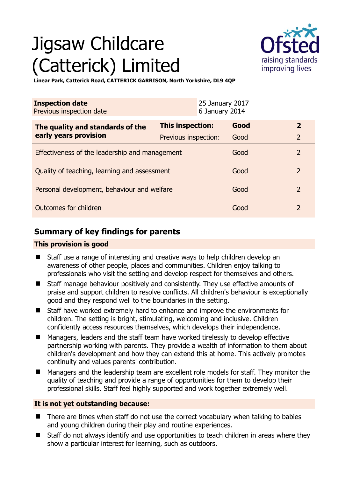# Jigsaw Childcare (Catterick) Limited



**Linear Park, Catterick Road, CATTERICK GARRISON, North Yorkshire, DL9 4QP** 

| <b>Inspection date</b><br>Previous inspection date        |                         | 25 January 2017<br>6 January 2014 |                |
|-----------------------------------------------------------|-------------------------|-----------------------------------|----------------|
| The quality and standards of the<br>early years provision | <b>This inspection:</b> | Good                              | $\overline{2}$ |
|                                                           | Previous inspection:    | Good                              | $\overline{2}$ |
| Effectiveness of the leadership and management            |                         | Good                              | $\overline{2}$ |
| Quality of teaching, learning and assessment              |                         | Good                              | $\overline{2}$ |
| Personal development, behaviour and welfare               |                         | Good                              | $\overline{2}$ |
| Outcomes for children                                     |                         | Good                              | $\overline{2}$ |

# **Summary of key findings for parents**

## **This provision is good**

- Staff use a range of interesting and creative ways to help children develop an awareness of other people, places and communities. Children enjoy talking to professionals who visit the setting and develop respect for themselves and others.
- Staff manage behaviour positively and consistently. They use effective amounts of praise and support children to resolve conflicts. All children's behaviour is exceptionally good and they respond well to the boundaries in the setting.
- Staff have worked extremely hard to enhance and improve the environments for children. The setting is bright, stimulating, welcoming and inclusive. Children confidently access resources themselves, which develops their independence.
- Managers, leaders and the staff team have worked tirelessly to develop effective partnership working with parents. They provide a wealth of information to them about children's development and how they can extend this at home. This actively promotes continuity and values parents' contribution.
- Managers and the leadership team are excellent role models for staff. They monitor the quality of teaching and provide a range of opportunities for them to develop their professional skills. Staff feel highly supported and work together extremely well.

## **It is not yet outstanding because:**

- There are times when staff do not use the correct vocabulary when talking to babies and young children during their play and routine experiences.
- Staff do not always identify and use opportunities to teach children in areas where they show a particular interest for learning, such as outdoors.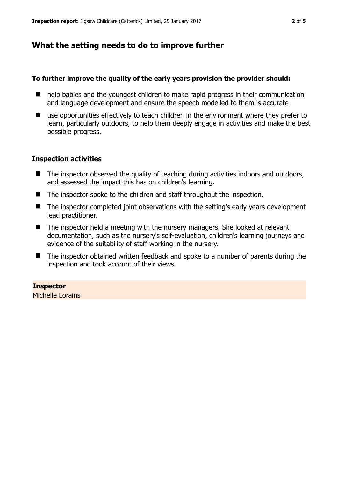## **What the setting needs to do to improve further**

#### **To further improve the quality of the early years provision the provider should:**

- $\blacksquare$  help babies and the youngest children to make rapid progress in their communication and language development and ensure the speech modelled to them is accurate
- use opportunities effectively to teach children in the environment where they prefer to learn, particularly outdoors, to help them deeply engage in activities and make the best possible progress.

#### **Inspection activities**

- The inspector observed the quality of teaching during activities indoors and outdoors, and assessed the impact this has on children's learning.
- The inspector spoke to the children and staff throughout the inspection.
- The inspector completed joint observations with the setting's early years development lead practitioner.
- The inspector held a meeting with the nursery managers. She looked at relevant documentation, such as the nursery's self-evaluation, children's learning journeys and evidence of the suitability of staff working in the nursery.
- The inspector obtained written feedback and spoke to a number of parents during the inspection and took account of their views.

#### **Inspector**

Michelle Lorains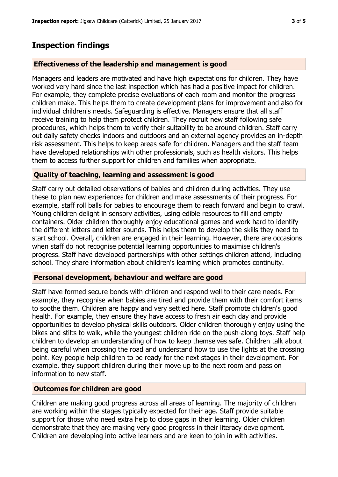## **Inspection findings**

#### **Effectiveness of the leadership and management is good**

Managers and leaders are motivated and have high expectations for children. They have worked very hard since the last inspection which has had a positive impact for children. For example, they complete precise evaluations of each room and monitor the progress children make. This helps them to create development plans for improvement and also for individual children's needs. Safeguarding is effective. Managers ensure that all staff receive training to help them protect children. They recruit new staff following safe procedures, which helps them to verify their suitability to be around children. Staff carry out daily safety checks indoors and outdoors and an external agency provides an in-depth risk assessment. This helps to keep areas safe for children. Managers and the staff team have developed relationships with other professionals, such as health visitors. This helps them to access further support for children and families when appropriate.

#### **Quality of teaching, learning and assessment is good**

Staff carry out detailed observations of babies and children during activities. They use these to plan new experiences for children and make assessments of their progress. For example, staff roll balls for babies to encourage them to reach forward and begin to crawl. Young children delight in sensory activities, using edible resources to fill and empty containers. Older children thoroughly enjoy educational games and work hard to identify the different letters and letter sounds. This helps them to develop the skills they need to start school. Overall, children are engaged in their learning. However, there are occasions when staff do not recognise potential learning opportunities to maximise children's progress. Staff have developed partnerships with other settings children attend, including school. They share information about children's learning which promotes continuity.

#### **Personal development, behaviour and welfare are good**

Staff have formed secure bonds with children and respond well to their care needs. For example, they recognise when babies are tired and provide them with their comfort items to soothe them. Children are happy and very settled here. Staff promote children's good health. For example, they ensure they have access to fresh air each day and provide opportunities to develop physical skills outdoors. Older children thoroughly enjoy using the bikes and stilts to walk, while the youngest children ride on the push-along toys. Staff help children to develop an understanding of how to keep themselves safe. Children talk about being careful when crossing the road and understand how to use the lights at the crossing point. Key people help children to be ready for the next stages in their development. For example, they support children during their move up to the next room and pass on information to new staff.

#### **Outcomes for children are good**

Children are making good progress across all areas of learning. The majority of children are working within the stages typically expected for their age. Staff provide suitable support for those who need extra help to close gaps in their learning. Older children demonstrate that they are making very good progress in their literacy development. Children are developing into active learners and are keen to join in with activities.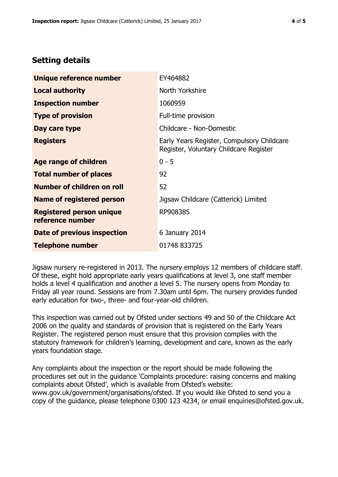## **Setting details**

| Unique reference number                             | EY464882                                                                             |  |
|-----------------------------------------------------|--------------------------------------------------------------------------------------|--|
| <b>Local authority</b>                              | North Yorkshire                                                                      |  |
| <b>Inspection number</b>                            | 1060959                                                                              |  |
| <b>Type of provision</b>                            | Full-time provision                                                                  |  |
| Day care type                                       | Childcare - Non-Domestic                                                             |  |
| <b>Registers</b>                                    | Early Years Register, Compulsory Childcare<br>Register, Voluntary Childcare Register |  |
| Age range of children                               | $0 - 5$                                                                              |  |
| <b>Total number of places</b>                       | 92                                                                                   |  |
| Number of children on roll                          | 52                                                                                   |  |
| Name of registered person                           | Jigsaw Childcare (Catterick) Limited                                                 |  |
| <b>Registered person unique</b><br>reference number | RP908385                                                                             |  |
| <b>Date of previous inspection</b>                  | 6 January 2014                                                                       |  |
| <b>Telephone number</b>                             | 01748 833725                                                                         |  |

Jigsaw nursery re-registered in 2013. The nursery employs 12 members of childcare staff. Of these, eight hold appropriate early years qualifications at level 3, one staff member holds a level 4 qualification and another a level 5. The nursery opens from Monday to Friday all year round. Sessions are from 7.30am until 6pm. The nursery provides funded early education for two-, three- and four-year-old children.

This inspection was carried out by Ofsted under sections 49 and 50 of the Childcare Act 2006 on the quality and standards of provision that is registered on the Early Years Register. The registered person must ensure that this provision complies with the statutory framework for children's learning, development and care, known as the early years foundation stage.

Any complaints about the inspection or the report should be made following the procedures set out in the guidance 'Complaints procedure: raising concerns and making complaints about Ofsted', which is available from Ofsted's website: www.gov.uk/government/organisations/ofsted. If you would like Ofsted to send you a copy of the guidance, please telephone 0300 123 4234, or email enquiries@ofsted.gov.uk.